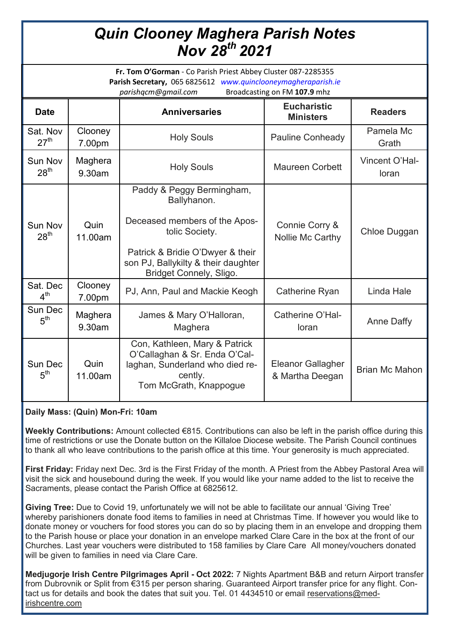# *Quin Clooney Maghera Parish Notes Nov 28th 2021*

| Fr. Tom O'Gorman - Co Parish Priest Abbey Cluster 087-2285355<br>Parish Secretary, 065 6825612 www.quinclooneymagheraparish.ie<br>Broadcasting on FM 107.9 mhz<br>parishqcm@gmail.com |                   |                                                                                                                                                                                                   |                                             |                         |
|---------------------------------------------------------------------------------------------------------------------------------------------------------------------------------------|-------------------|---------------------------------------------------------------------------------------------------------------------------------------------------------------------------------------------------|---------------------------------------------|-------------------------|
| <b>Date</b>                                                                                                                                                                           |                   | <b>Anniversaries</b>                                                                                                                                                                              | <b>Eucharistic</b><br><b>Ministers</b>      | <b>Readers</b>          |
| Sat. Nov<br>27 <sup>th</sup>                                                                                                                                                          | Clooney<br>7.00pm | <b>Holy Souls</b>                                                                                                                                                                                 | <b>Pauline Conheady</b>                     | Pamela Mc<br>Grath      |
| Sun Nov<br>28 <sup>th</sup>                                                                                                                                                           | Maghera<br>9.30am | <b>Holy Souls</b>                                                                                                                                                                                 | <b>Maureen Corbett</b>                      | Vincent O'Hal-<br>loran |
| Sun Nov<br>28 <sup>th</sup>                                                                                                                                                           | Quin<br>11.00am   | Paddy & Peggy Bermingham,<br>Ballyhanon.<br>Deceased members of the Apos-<br>tolic Society.<br>Patrick & Bridie O'Dwyer & their<br>son PJ, Ballykilty & their daughter<br>Bridget Connely, Sligo. | Connie Corry &<br>Nollie Mc Carthy          | Chloe Duggan            |
| Sat. Dec<br>4 <sup>th</sup>                                                                                                                                                           | Clooney<br>7.00pm | PJ, Ann, Paul and Mackie Keogh                                                                                                                                                                    | Catherine Ryan                              | Linda Hale              |
| Sun Dec<br>5 <sup>th</sup>                                                                                                                                                            | Maghera<br>9.30am | James & Mary O'Halloran,<br>Maghera                                                                                                                                                               | Catherine O'Hal-<br>loran                   | <b>Anne Daffy</b>       |
| Sun Dec<br>$5^{\text{th}}$                                                                                                                                                            | Quin<br>11.00am   | Con, Kathleen, Mary & Patrick<br>O'Callaghan & Sr. Enda O'Cal-<br>laghan, Sunderland who died re-<br>cently.<br>Tom McGrath, Knappogue                                                            | <b>Eleanor Gallagher</b><br>& Martha Deegan | <b>Brian Mc Mahon</b>   |

## **Daily Mass: (Quin) Mon-Fri: 10am**

**Weekly Contributions:** Amount collected €815. Contributions can also be left in the parish office during this time of restrictions or use the Donate button on the Killaloe Diocese website. The Parish Council continues to thank all who leave contributions to the parish office at this time. Your generosity is much appreciated.

**First Friday:** Friday next Dec. 3rd is the First Friday of the month. A Priest from the Abbey Pastoral Area will visit the sick and housebound during the week. If you would like your name added to the list to receive the Sacraments, please contact the Parish Office at 6825612.

**Giving Tree:** Due to Covid 19, unfortunately we will not be able to facilitate our annual 'Giving Tree' whereby parishioners donate food items to families in need at Christmas Time. If however you would like to donate money or vouchers for food stores you can do so by placing them in an envelope and dropping them to the Parish house or place your donation in an envelope marked Clare Care in the box at the front of our Churches. Last year vouchers were distributed to 158 families by Clare Care All money/vouchers donated will be given to families in need via Clare Care.

**Medjugorje Irish Centre Pilgrimages April - Oct 2022:** 7 Nights Apartment B&B and return Airport transfer from Dubrovnik or Split from €315 per person sharing. Guaranteed Airport transfer price for any flight. Contact us for details and book the dates that suit you. Tel. 01 4434510 or email [reservations@med](mailto:reservations@med-irishcentre.com)[irishcentre.com](mailto:reservations@med-irishcentre.com)